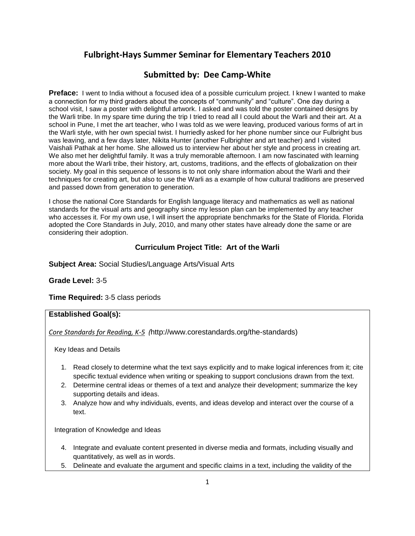# **Fulbright-Hays Summer Seminar for Elementary Teachers 2010**

## **Submitted by: Dee Camp-White**

**Preface:** I went to India without a focused idea of a possible curriculum project. I knew I wanted to make a connection for my third graders about the concepts of "community" and "culture". One day during a school visit, I saw a poster with delightful artwork. I asked and was told the poster contained designs by the Warli tribe. In my spare time during the trip I tried to read all I could about the Warli and their art. At a school in Pune, I met the art teacher, who I was told as we were leaving, produced various forms of art in the Warli style, with her own special twist. I hurriedly asked for her phone number since our Fulbright bus was leaving, and a few days later, Nikita Hunter (another Fulbrighter and art teacher) and I visited Vaishali Pathak at her home. She allowed us to interview her about her style and process in creating art. We also met her delightful family. It was a truly memorable afternoon. I am now fascinated with learning more about the Warli tribe, their history, art, customs, traditions, and the effects of globalization on their society. My goal in this sequence of lessons is to not only share information about the Warli and their techniques for creating art, but also to use the Warli as a example of how cultural traditions are preserved and passed down from generation to generation.

I chose the national Core Standards for English language literacy and mathematics as well as national standards for the visual arts and geography since my lesson plan can be implemented by any teacher who accesses it. For my own use, I will insert the appropriate benchmarks for the State of Florida. Florida adopted the Core Standards in July, 2010, and many other states have already done the same or are considering their adoption.

## **Curriculum Project Title: Art of the Warli**

**Subject Area:** Social Studies/Language Arts/Visual Arts

## **Grade Level:** 3-5

**Time Required:** 3-5 class periods

## **Established Goal(s):**

*Core Standards for Reading, K-5 (*http://www.corestandards.org/the-standards)

Key Ideas and Details

- 1. Read closely to determine what the text says explicitly and to make logical inferences from it; cite specific textual evidence when writing or speaking to support conclusions drawn from the text.
- 2. Determine central ideas or themes of a text and analyze their development; summarize the key supporting details and ideas.
- 3. Analyze how and why individuals, events, and ideas develop and interact over the course of a text.

Integration of Knowledge and Ideas

- 4. Integrate and evaluate content presented in diverse media and formats, including visually and quantitatively, as well as in words.
- 5. Delineate and evaluate the argument and specific claims in a text, including the validity of the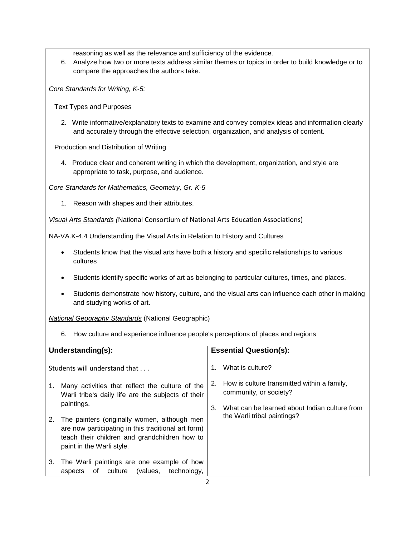reasoning as well as the relevance and sufficiency of the evidence.

6. Analyze how two or more texts address similar themes or topics in order to build knowledge or to compare the approaches the authors take.

*Core Standards for Writing, K-5:*

Text Types and Purposes

2. Write informative/explanatory texts to examine and convey complex ideas and information clearly and accurately through the effective selection, organization, and analysis of content.

Production and Distribution of Writing

4. Produce clear and coherent writing in which the development, organization, and style are appropriate to task, purpose, and audience.

*Core Standards for Mathematics, Geometry, Gr. K-5*

1. Reason with shapes and their attributes.

*Visual Arts Standards (*National Consortium of National Arts Education Associations)

NA-VA.K-4.4 Understanding the Visual Arts in Relation to History and Cultures

- Students know that the visual arts have both a history and specific relationships to various cultures
- Students identify specific works of art as belonging to particular cultures, times, and places.
- Students demonstrate how history, culture, and the visual arts can influence each other in making and studying works of art.

*National Geography Standards* (National Geographic)

6. How culture and experience influence people's perceptions of places and regions

| Understanding(s):                                                                                                                                                                       | <b>Essential Question(s):</b>                                                                   |  |
|-----------------------------------------------------------------------------------------------------------------------------------------------------------------------------------------|-------------------------------------------------------------------------------------------------|--|
| Students will understand that<br>Many activities that reflect the culture of the<br>1.<br>Warli tribe's daily life are the subjects of their<br>paintings.                              | What is culture?<br>1.<br>How is culture transmitted within a family,<br>community, or society? |  |
| The painters (originally women, although men<br>2.<br>are now participating in this traditional art form)<br>teach their children and grandchildren how to<br>paint in the Warli style. | What can be learned about Indian culture from<br>3.<br>the Warli tribal paintings?              |  |
| The Warli paintings are one example of how<br>3.<br>technology,<br>culture<br>(values,<br>of<br>aspects                                                                                 |                                                                                                 |  |
|                                                                                                                                                                                         |                                                                                                 |  |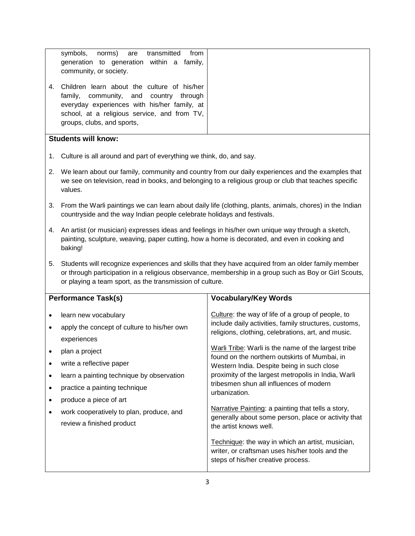| symbols, norms) are transmitted<br>from<br>generation to generation within a family,<br>community, or society.                                                                                                         |
|------------------------------------------------------------------------------------------------------------------------------------------------------------------------------------------------------------------------|
| 4. Children learn about the culture of his/her<br>family, community, and country through<br>everyday experiences with his/her family, at<br>school, at a religious service, and from TV,<br>groups, clubs, and sports, |

## **Students will know:**

- 1. Culture is all around and part of everything we think, do, and say.
- 2. We learn about our family, community and country from our daily experiences and the examples that we see on television, read in books, and belonging to a religious group or club that teaches specific values.
- 3. From the Warli paintings we can learn about daily life (clothing, plants, animals, chores) in the Indian countryside and the way Indian people celebrate holidays and festivals.
- 4. An artist (or musician) expresses ideas and feelings in his/her own unique way through a sketch, painting, sculpture, weaving, paper cutting, how a home is decorated, and even in cooking and baking!
- 5. Students will recognize experiences and skills that they have acquired from an older family member or through participation in a religious observance, membership in a group such as Boy or Girl Scouts, or playing a team sport, as the transmission of culture.

| <b>Performance Task(s)</b> |                                                                                                                                                                                                                                                                                                                   | <b>Vocabulary/Key Words</b>                                                                                                                                                                                                                                                                                                                                                                                                                                                                                                                                                                                                                                                                                                   |
|----------------------------|-------------------------------------------------------------------------------------------------------------------------------------------------------------------------------------------------------------------------------------------------------------------------------------------------------------------|-------------------------------------------------------------------------------------------------------------------------------------------------------------------------------------------------------------------------------------------------------------------------------------------------------------------------------------------------------------------------------------------------------------------------------------------------------------------------------------------------------------------------------------------------------------------------------------------------------------------------------------------------------------------------------------------------------------------------------|
|                            | learn new vocabulary<br>apply the concept of culture to his/her own<br>experiences<br>plan a project<br>write a reflective paper<br>learn a painting technique by observation<br>practice a painting technique<br>produce a piece of art<br>work cooperatively to plan, produce, and<br>review a finished product | Culture: the way of life of a group of people, to<br>include daily activities, family structures, customs,<br>religions, clothing, celebrations, art, and music.<br>Warli Tribe: Warli is the name of the largest tribe<br>found on the northern outskirts of Mumbai, in<br>Western India. Despite being in such close<br>proximity of the largest metropolis in India, Warli<br>tribesmen shun all influences of modern<br>urbanization.<br>Narrative Painting: a painting that tells a story,<br>generally about some person, place or activity that<br>the artist knows well.<br>Technique: the way in which an artist, musician,<br>writer, or craftsman uses his/her tools and the<br>steps of his/her creative process. |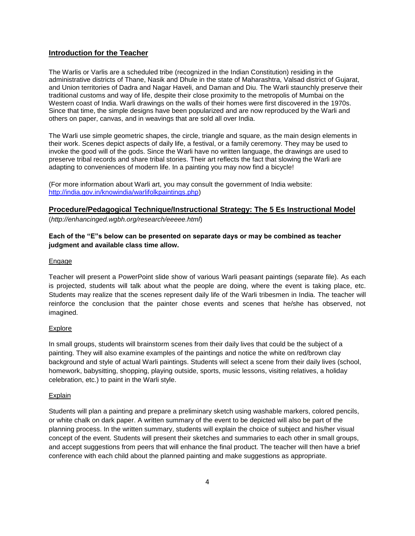## **Introduction for the Teacher**

The Warlis or Varlis are a scheduled tribe (recognized in the Indian Constitution) residing in the administrative districts of Thane, Nasik and Dhule in the state of Maharashtra, Valsad district of Gujarat, and Union territories of Dadra and Nagar Haveli, and Daman and Diu. The Warli staunchly preserve their traditional customs and way of life, despite their close proximity to the metropolis of Mumbai on the Western coast of India. Warli drawings on the walls of their homes were first discovered in the 1970s. Since that time, the simple designs have been popularized and are now reproduced by the Warli and others on paper, canvas, and in weavings that are sold all over India.

The Warli use simple geometric shapes, the circle, triangle and square, as the main design elements in their work. Scenes depict aspects of daily life, a festival, or a family ceremony. They may be used to invoke the good will of the gods. Since the Warli have no written language, the drawings are used to preserve tribal records and share tribal stories. Their art reflects the fact that slowing the Warli are adapting to conveniences of modern life. In a painting you may now find a bicycle!

(For more information about Warli art, you may consult the government of India website: [http://india.gov.in/knowindia/warlifolkpaintings.php\)](http://india.gov.in/knowindia/warlifolkpaintings.php)

## **Procedure/Pedagogical Technique/Instructional Strategy: The 5 Es Instructional Model**

(*http://enhancinged.wgbh.org/research/eeeee.html*)

## **Each of the "E"s below can be presented on separate days or may be combined as teacher judgment and available class time allow.**

#### Engage

Teacher will present a PowerPoint slide show of various Warli peasant paintings (separate file). As each is projected, students will talk about what the people are doing, where the event is taking place, etc. Students may realize that the scenes represent daily life of the Warli tribesmen in India. The teacher will reinforce the conclusion that the painter chose events and scenes that he/she has observed, not imagined.

## Explore

In small groups, students will brainstorm scenes from their daily lives that could be the subject of a painting. They will also examine examples of the paintings and notice the white on red/brown clay background and style of actual Warli paintings. Students will select a scene from their daily lives (school, homework, babysitting, shopping, playing outside, sports, music lessons, visiting relatives, a holiday celebration, etc.) to paint in the Warli style.

#### **Explain**

Students will plan a painting and prepare a preliminary sketch using washable markers, colored pencils, or white chalk on dark paper. A written summary of the event to be depicted will also be part of the planning process. In the written summary, students will explain the choice of subject and his/her visual concept of the event. Students will present their sketches and summaries to each other in small groups, and accept suggestions from peers that will enhance the final product. The teacher will then have a brief conference with each child about the planned painting and make suggestions as appropriate.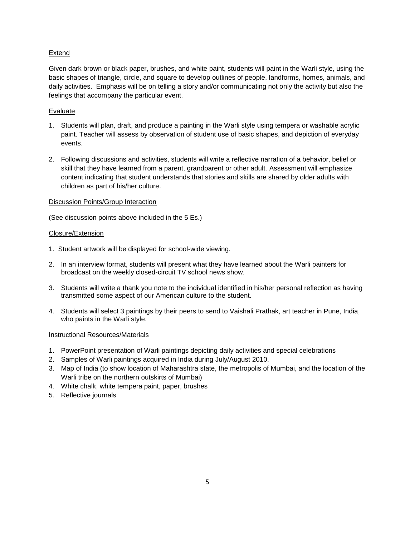## Extend

Given dark brown or black paper, brushes, and white paint, students will paint in the Warli style, using the basic shapes of triangle, circle, and square to develop outlines of people, landforms, homes, animals, and daily activities. Emphasis will be on telling a story and/or communicating not only the activity but also the feelings that accompany the particular event.

## Evaluate

- 1. Students will plan, draft, and produce a painting in the Warli style using tempera or washable acrylic paint. Teacher will assess by observation of student use of basic shapes, and depiction of everyday events.
- 2. Following discussions and activities, students will write a reflective narration of a behavior, belief or skill that they have learned from a parent, grandparent or other adult. Assessment will emphasize content indicating that student understands that stories and skills are shared by older adults with children as part of his/her culture.

## Discussion Points/Group Interaction

(See discussion points above included in the 5 Es.)

## Closure/Extension

- 1. Student artwork will be displayed for school-wide viewing.
- 2. In an interview format, students will present what they have learned about the Warli painters for broadcast on the weekly closed-circuit TV school news show.
- 3. Students will write a thank you note to the individual identified in his/her personal reflection as having transmitted some aspect of our American culture to the student.
- 4. Students will select 3 paintings by their peers to send to Vaishali Prathak, art teacher in Pune, India, who paints in the Warli style.

## Instructional Resources/Materials

- 1. PowerPoint presentation of Warli paintings depicting daily activities and special celebrations
- 2. Samples of Warli paintings acquired in India during July/August 2010.
- 3. Map of India (to show location of Maharashtra state, the metropolis of Mumbai, and the location of the Warli tribe on the northern outskirts of Mumbai)
- 4. White chalk, white tempera paint, paper, brushes
- 5. Reflective journals